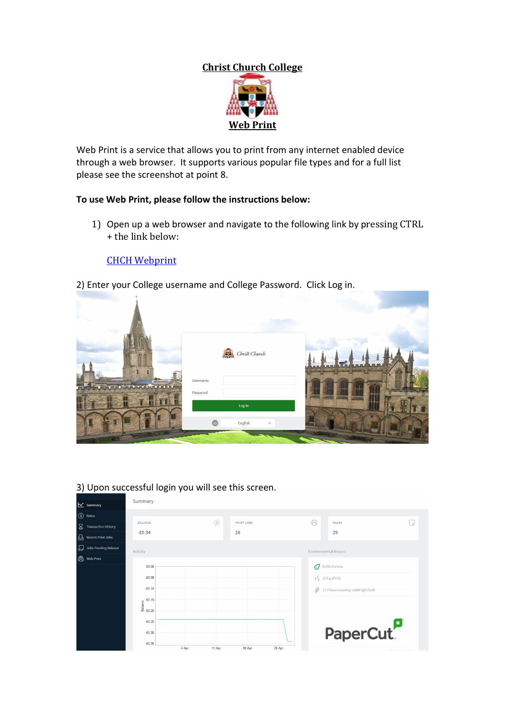# **Christ Church College**



Web Print is a service that allows you to print from any internet enabled device through a web browser. It supports various popular file types and for a full list please see the screenshot at point 8.

# **To use Web Print, please follow the instructions below:**

1) Open up a web browser and navigate to the following link by pressing CTRL + the link below:

## **[CHCH Webprint](https://printing.chch.ox.ac.uk:9192/user)**

2) Enter your College username and College Password. Click Log in.





### 3) Upon successful login you will see this screen.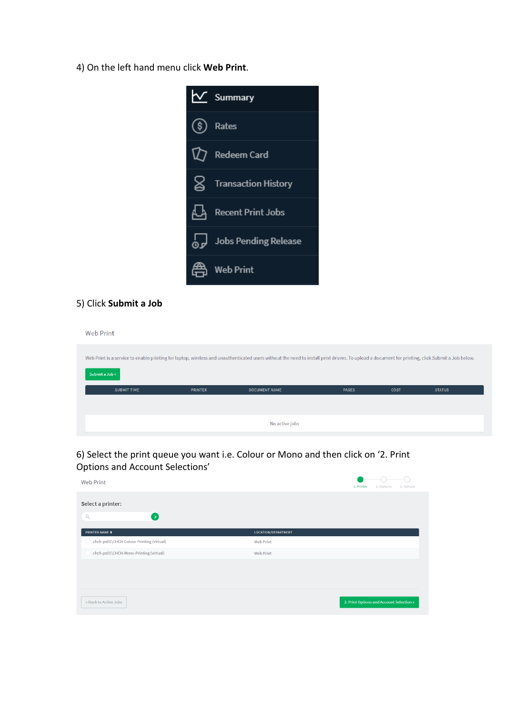4) On the left hand menu click **Web Print**.



#### 5) Click **Submit a Job**

**Web Print** 

|                    |                | Web Print is a service to enable printing for laptop, wireless and unauthenticated users without the need to install print drivers. To upload a document for printing, click Submit a Job below. |              |             |               |
|--------------------|----------------|--------------------------------------------------------------------------------------------------------------------------------------------------------------------------------------------------|--------------|-------------|---------------|
| Submit a Job »     |                |                                                                                                                                                                                                  |              |             |               |
| <b>SUBMIT TIME</b> | <b>PRINTER</b> | <b>DOCUMENT NAME</b>                                                                                                                                                                             | <b>PAGES</b> | <b>COST</b> | <b>STATUS</b> |
|                    |                |                                                                                                                                                                                                  |              |             |               |
|                    |                | No active jobs                                                                                                                                                                                   |              |             |               |

6) Select the print queue you want i.e. Colour or Mono and then click on '2. Print Options and Account Selections'

| <b>Web Print</b>                                   | 1. Printer<br>2. Options<br>3. Upload    |
|----------------------------------------------------|------------------------------------------|
| Select a printer:<br>$\mathbb{Q}$<br>$\rightarrow$ |                                          |
| <b>PRINTER NAME +</b>                              | LOCATION/DEPARTMENT                      |
| chch-ps01\CHCH-Colour-Printing (virtual)           | <b>Web Print</b>                         |
| chch-ps01\CHCH-Mono-Printing (virtual)             | <b>Web Print</b>                         |
|                                                    |                                          |
|                                                    |                                          |
|                                                    |                                          |
| « Back to Active Jobs                              | 2. Print Options and Account Selection » |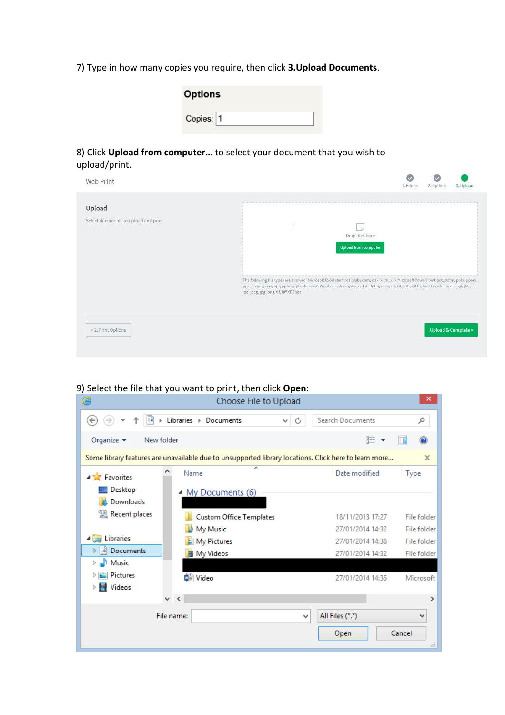7) Type in how many copies you require, then click **3.Upload Documents**.

| <b>Options</b> |  |
|----------------|--|
| Copies: 1      |  |

8) Click **Upload from computer…** to select your document that you wish to upload/print.

| Web Print                                      | 1. Printer<br>2. Options<br>3. Upload                                                                                                                                                                                                                                                                                                                                             |
|------------------------------------------------|-----------------------------------------------------------------------------------------------------------------------------------------------------------------------------------------------------------------------------------------------------------------------------------------------------------------------------------------------------------------------------------|
| Upload<br>Select documents to upload and print | ٠<br>Drag files here<br>Upload from computer<br>The following file types are allowed: Microsoft Excel xlam, xls, xlsb, xlsm, xlsx, xltm, xltx Microsoft PowerPoint pot, potm, potx, ppam,<br>pps, ppsm, ppsx, ppt, pptm, ppbx Microsoft Word doc, docm, docx, dot, dotm, dobx, rtf, bxt PDF pdf Picture Files bmp, dib, gif, jfif, jif,<br>jpe, jpeg, jpg, png, tif, tiff XPS xps |
| « 2. Print Options                             | <b>Upload &amp; Complete »</b>                                                                                                                                                                                                                                                                                                                                                    |

#### 9) Select the file that you want to print, then click **Open**:

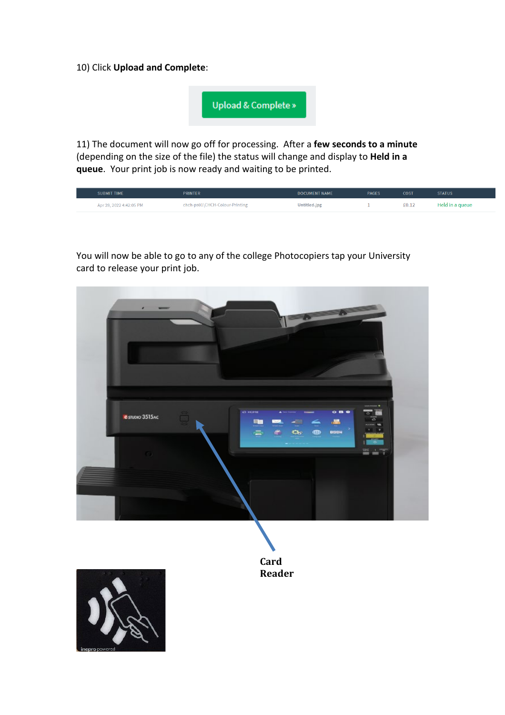10) Click **Upload and Complete**:

Upload & Complete »

11) The document will now go off for processing. After a **few seconds to a minute** (depending on the size of the file) the status will change and display to **Held in a queue**. Your print job is now ready and waiting to be printed.

| <b>SUBMIT TIME</b>      | <b>PRINTER</b>                 | <b>DOCUMENT NAME</b> | <b>PAGES</b> | <b>COST</b> | <b>STATUS</b>   |
|-------------------------|--------------------------------|----------------------|--------------|-------------|-----------------|
| Apr 28, 2022 4:42:05 PM | chch-ps01\CHCH-Colour-Printing | Untitled.jpg         |              | £0.12       | Held in a queue |

You will now be able to go to any of the college Photocopiers tap your University card to release your print job.





**Card Reader**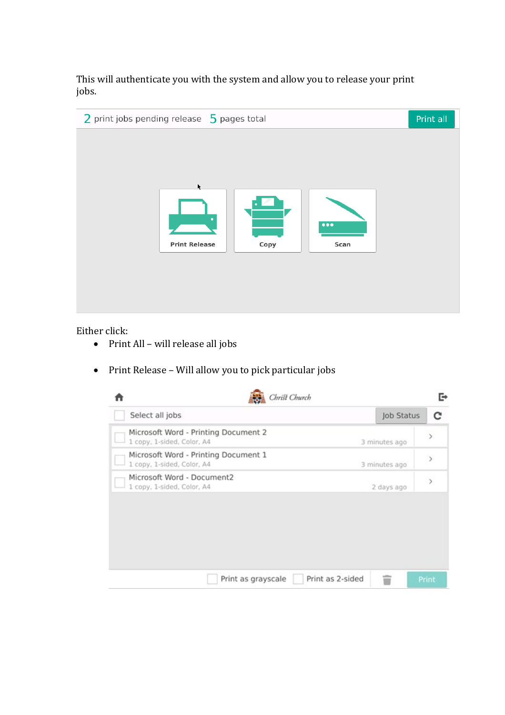This will authenticate you with the system and allow you to release your print jobs.

| 2 print jobs pending release 5 pages total |      |                                 | Print all |
|--------------------------------------------|------|---------------------------------|-----------|
| ĸ<br><b>Print Release</b>                  | Copy | $\bullet\bullet\bullet$<br>Scan |           |
|                                            |      |                                 |           |

Either click:

- Print All will release all jobs
- Print Release Will allow you to pick particular jobs

|                                                                    | Christ Church      |                  |               | г              |
|--------------------------------------------------------------------|--------------------|------------------|---------------|----------------|
| Select all jobs                                                    |                    |                  | Job Status    | с              |
| Microsoft Word - Printing Document 2<br>1 copy, 1-sided, Color, A4 |                    |                  | 3 minutes ago | $\mathcal{P}$  |
| Microsoft Word - Printing Document 1<br>1 copy, 1-sided, Color, A4 |                    |                  | 3 minutes ago | $\rightarrow$  |
| Microsoft Word - Document2<br>1 copy, 1-sided, Color, A4           |                    |                  | 2 days ago    | $\overline{ }$ |
|                                                                    |                    |                  |               |                |
|                                                                    |                    |                  |               |                |
|                                                                    |                    |                  |               |                |
|                                                                    |                    |                  |               |                |
|                                                                    | Print as grayscale | Print as 2-sided | w             | Print          |